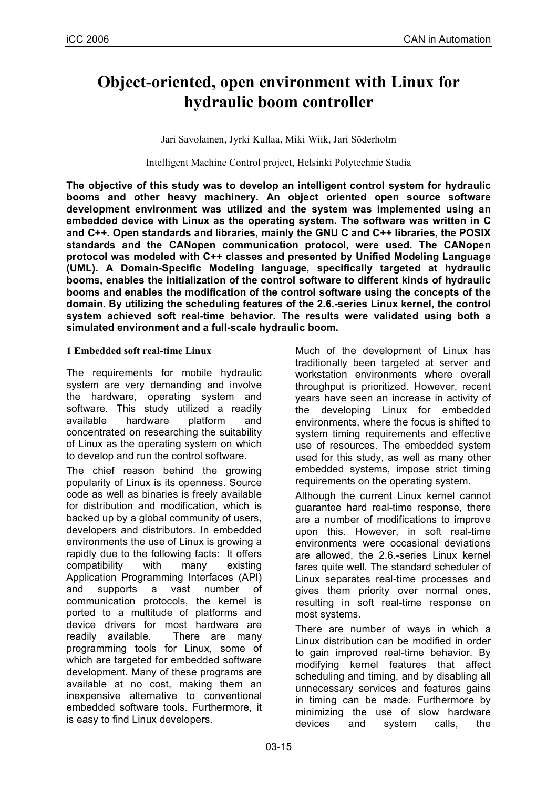# **Object-oriented, open environment with Linux for hydraulic boom controller**

Jari Savolainen, Jyrki Kullaa, Miki Wiik, Jari Söderholm

Intelligent Machine Control project, Helsinki Polytechnic Stadia

**The objective of this study was to develop an intelligent control system for hydraulic booms and other heavy machinery. An object oriented open source software development environment was utilized and the system was implemented using an embedded device with Linux as the operating system. The software was written in C and C++. Open standards and libraries, mainly the GNU C and C++ libraries, the POSIX standards and the CANopen communication protocol, were used. The CANopen protocol was modeled with C++ classes and presented by Unified Modeling Language (UML). A Domain-Specific Modeling language, specifically targeted at hydraulic booms, enables the initialization of the control software to different kinds of hydraulic booms and enables the modification of the control software using the concepts of the domain. By utilizing the scheduling features of the 2.6.-series Linux kernel, the control system achieved soft real-time behavior. The results were validated using both a simulated environment and a full-scale hydraulic boom.**

## **1 Embedded soft real-time Linux**

The requirements for mobile hydraulic system are very demanding and involve the hardware, operating system and software. This study utilized a readily available hardware platform and concentrated on researching the suitability of Linux as the operating system on which to develop and run the control software.

The chief reason behind the growing popularity of Linux is its openness. Source code as well as binaries is freely available for distribution and modification, which is backed up by a global community of users, developers and distributors. In embedded environments the use of Linux is growing a rapidly due to the following facts: It offers compatibility with many existing Application Programming Interfaces (API) and supports a vast number of communication protocols, the kernel is ported to a multitude of platforms and device drivers for most hardware are readily available. There are many programming tools for Linux, some of which are targeted for embedded software development. Many of these programs are available at no cost, making them an inexpensive alternative to conventional embedded software tools. Furthermore, it is easy to find Linux developers.

Much of the development of Linux has traditionally been targeted at server and workstation environments where overall throughput is prioritized. However, recent years have seen an increase in activity of the developing Linux for embedded environments, where the focus is shifted to system timing requirements and effective use of resources. The embedded system used for this study, as well as many other embedded systems, impose strict timing requirements on the operating system.

Although the current Linux kernel cannot guarantee hard real-time response, there are a number of modifications to improve upon this. However, in soft real-time environments were occasional deviations are allowed, the 2.6.-series Linux kernel fares quite well. The standard scheduler of Linux separates real-time processes and gives them priority over normal ones, resulting in soft real-time response on most systems.

There are number of ways in which a Linux distribution can be modified in order to gain improved real-time behavior. By modifying kernel features that affect scheduling and timing, and by disabling all unnecessary services and features gains in timing can be made. Furthermore by minimizing the use of slow hardware devices and system calls, the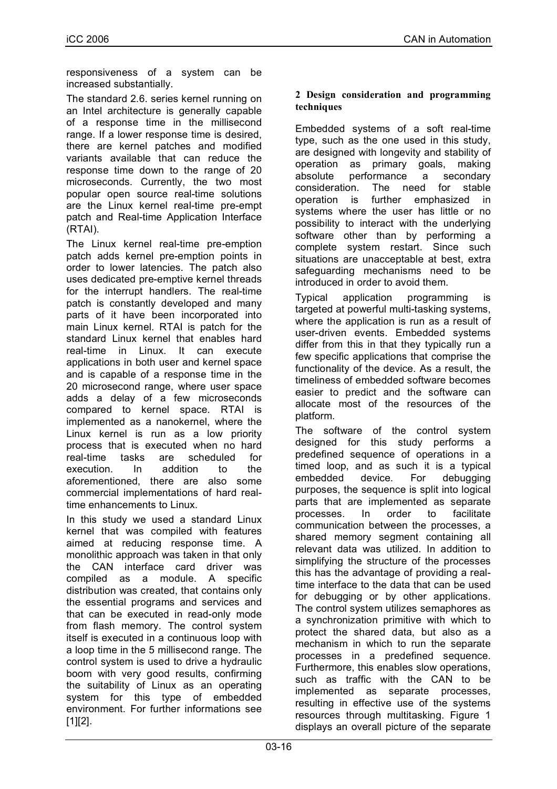responsiveness of a system can be increased substantially.

The standard 2.6. series kernel running on an Intel architecture is generally capable of a response time in the millisecond range. If a lower response time is desired, there are kernel patches and modified variants available that can reduce the response time down to the range of 20 microseconds. Currently, the two most popular open source real-time solutions are the Linux kernel real-time pre-empt patch and Real-time Application Interface (RTAI).

The Linux kernel real-time pre-emption patch adds kernel pre-emption points in order to lower latencies. The patch also uses dedicated pre-emptive kernel threads for the interrupt handlers. The real-time patch is constantly developed and many parts of it have been incorporated into main Linux kernel. RTAI is patch for the standard Linux kernel that enables hard real-time in Linux. It can execute applications in both user and kernel space and is capable of a response time in the 20 microsecond range, where user space adds a delay of a few microseconds compared to kernel space. RTAI is implemented as a nanokernel, where the Linux kernel is run as a low priority process that is executed when no hard real-time tasks are scheduled for execution. In addition to the aforementioned, there are also some commercial implementations of hard realtime enhancements to Linux.

In this study we used a standard Linux kernel that was compiled with features aimed at reducing response time. A monolithic approach was taken in that only the CAN interface card driver was compiled as a module. A specific distribution was created, that contains only the essential programs and services and that can be executed in read-only mode from flash memory. The control system itself is executed in a continuous loop with a loop time in the 5 millisecond range. The control system is used to drive a hydraulic boom with very good results, confirming the suitability of Linux as an operating system for this type of embedded environment. For further informations see  $[1]$ [2].

# **2 Design consideration and programming techniques**

Embedded systems of a soft real-time type, such as the one used in this study, are designed with longevity and stability of operation as primary goals, making absolute performance a secondary consideration. The need for stable operation is further emphasized in systems where the user has little or no possibility to interact with the underlying software other than by performing a complete system restart. Since such situations are unacceptable at best, extra safeguarding mechanisms need to be introduced in order to avoid them.

Typical application programming is targeted at powerful multi-tasking systems, where the application is run as a result of user-driven events. Embedded systems differ from this in that they typically run a few specific applications that comprise the functionality of the device. As a result, the timeliness of embedded software becomes easier to predict and the software can allocate most of the resources of the platform.

The software of the control system designed for this study performs a predefined sequence of operations in a timed loop, and as such it is a typical embedded device. For debugging purposes, the sequence is split into logical parts that are implemented as separate processes. In order to facilitate communication between the processes, a shared memory segment containing all relevant data was utilized. In addition to simplifying the structure of the processes this has the advantage of providing a realtime interface to the data that can be used for debugging or by other applications. The control system utilizes semaphores as a synchronization primitive with which to protect the shared data, but also as a mechanism in which to run the separate processes in a predefined sequence. Furthermore, this enables slow operations, such as traffic with the CAN to be implemented as separate processes, resulting in effective use of the systems resources through multitasking. Figure 1 displays an overall picture of the separate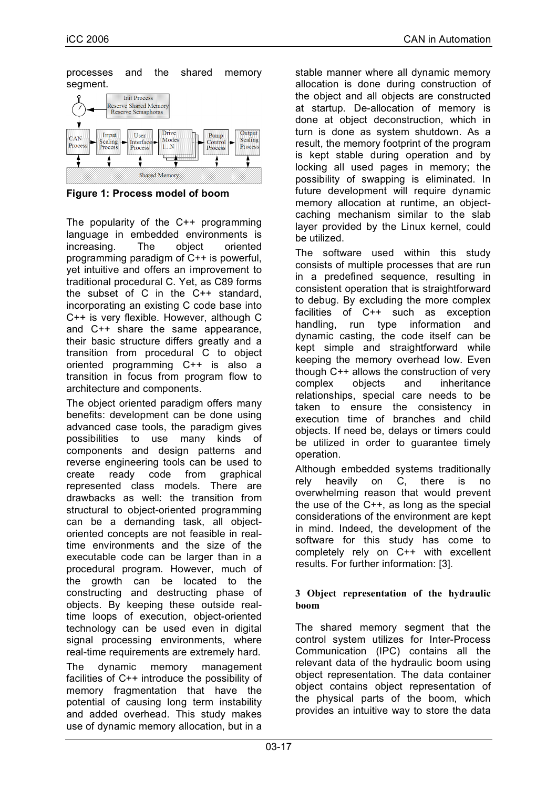processes and the shared memory segment.



**Figure 1: Process model of boom**

The popularity of the C++ programming language in embedded environments is increasing. The object oriented programming paradigm of C++ is powerful, yet intuitive and offers an improvement to traditional procedural C. Yet, as C89 forms the subset of C in the C++ standard, incorporating an existing C code base into C++ is very flexible. However, although C and C++ share the same appearance, their basic structure differs greatly and a transition from procedural C to object oriented programming C++ is also a transition in focus from program flow to architecture and components.

The object oriented paradigm offers many benefits: development can be done using advanced case tools, the paradigm gives possibilities to use many kinds of components and design patterns and reverse engineering tools can be used to create ready code from graphical represented class models. There are drawbacks as well: the transition from structural to object-oriented programming can be a demanding task, all objectoriented concepts are not feasible in realtime environments and the size of the executable code can be larger than in a procedural program. However, much of the growth can be located to the constructing and destructing phase of objects. By keeping these outside realtime loops of execution, object-oriented technology can be used even in digital signal processing environments, where real-time requirements are extremely hard. The dynamic memory management facilities of C++ introduce the possibility of memory fragmentation that have the potential of causing long term instability

and added overhead. This study makes use of dynamic memory allocation, but in a stable manner where all dynamic memory allocation is done during construction of the object and all objects are constructed at startup. De-allocation of memory is done at object deconstruction, which in turn is done as system shutdown. As a result, the memory footprint of the program is kept stable during operation and by locking all used pages in memory; the possibility of swapping is eliminated. In future development will require dynamic memory allocation at runtime, an objectcaching mechanism similar to the slab layer provided by the Linux kernel, could be utilized.

The software used within this study consists of multiple processes that are run in a predefined sequence, resulting in consistent operation that is straightforward to debug. By excluding the more complex facilities of C++ such as exception handling, run type information and dynamic casting, the code itself can be kept simple and straightforward while keeping the memory overhead low. Even though C++ allows the construction of very complex objects and inheritance relationships, special care needs to be taken to ensure the consistency in execution time of branches and child objects. If need be, delays or timers could be utilized in order to guarantee timely operation.

Although embedded systems traditionally rely heavily on C, there is no overwhelming reason that would prevent the use of the C++, as long as the special considerations of the environment are kept in mind. Indeed, the development of the software for this study has come to completely rely on C++ with excellent results. For further information: [3].

## **3 Object representation of the hydraulic boom**

The shared memory segment that the control system utilizes for Inter-Process Communication (IPC) contains all the relevant data of the hydraulic boom using object representation. The data container object contains object representation of the physical parts of the boom, which provides an intuitive way to store the data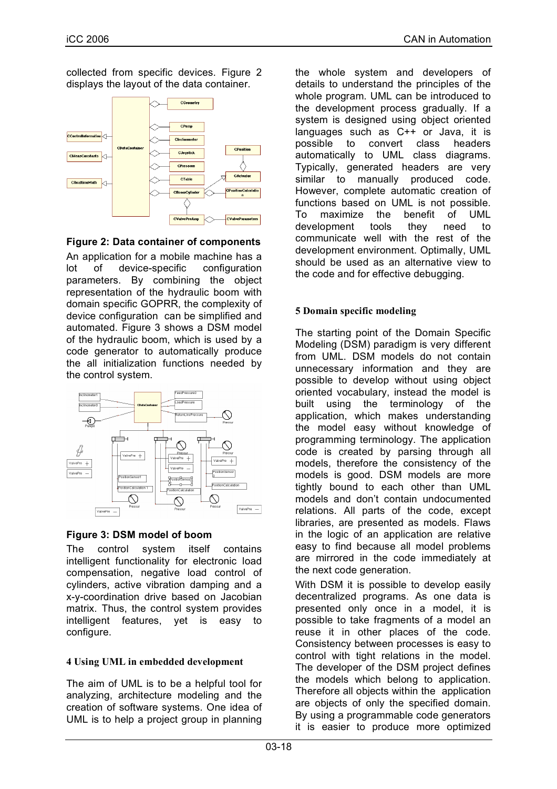collected from specific devices. Figure 2 displays the layout of the data container.



**Figure 2: Data container of components**

An application for a mobile machine has a lot of device-specific configuration parameters. By combining the object representation of the hydraulic boom with domain specific GOPRR, the complexity of device configuration can be simplified and automated. Figure 3 shows a DSM model of the hydraulic boom, which is used by a code generator to automatically produce the all initialization functions needed by the control system.



# **Figure 3: DSM model of boom**

The control system itself contains intelligent functionality for electronic load compensation, negative load control of cylinders, active vibration damping and a x-y-coordination drive based on Jacobian matrix. Thus, the control system provides intelligent features, yet is easy to configure.

# **4 Using UML in embedded development**

The aim of UML is to be a helpful tool for analyzing, architecture modeling and the creation of software systems. One idea of UML is to help a project group in planning

the whole system and developers of details to understand the principles of the whole program. UML can be introduced to the development process gradually. If a system is designed using object oriented languages such as C++ or Java, it is possible to convert class headers automatically to UML class diagrams. Typically, generated headers are very similar to manually produced code. However, complete automatic creation of functions based on UML is not possible. To maximize the benefit of UML development tools they need to communicate well with the rest of the development environment. Optimally, UML should be used as an alternative view to the code and for effective debugging.

# **5 Domain specific modeling**

The starting point of the Domain Specific Modeling (DSM) paradigm is very different from UML. DSM models do not contain unnecessary information and they are possible to develop without using object oriented vocabulary, instead the model is built using the terminology of the application, which makes understanding the model easy without knowledge of programming terminology. The application code is created by parsing through all models, therefore the consistency of the models is good. DSM models are more tightly bound to each other than UML models and don't contain undocumented relations. All parts of the code, except libraries, are presented as models. Flaws in the logic of an application are relative easy to find because all model problems are mirrored in the code immediately at the next code generation.

With DSM it is possible to develop easily decentralized programs. As one data is presented only once in a model, it is possible to take fragments of a model an reuse it in other places of the code. Consistency between processes is easy to control with tight relations in the model. The developer of the DSM project defines the models which belong to application. Therefore all objects within the application are objects of only the specified domain. By using a programmable code generators it is easier to produce more optimized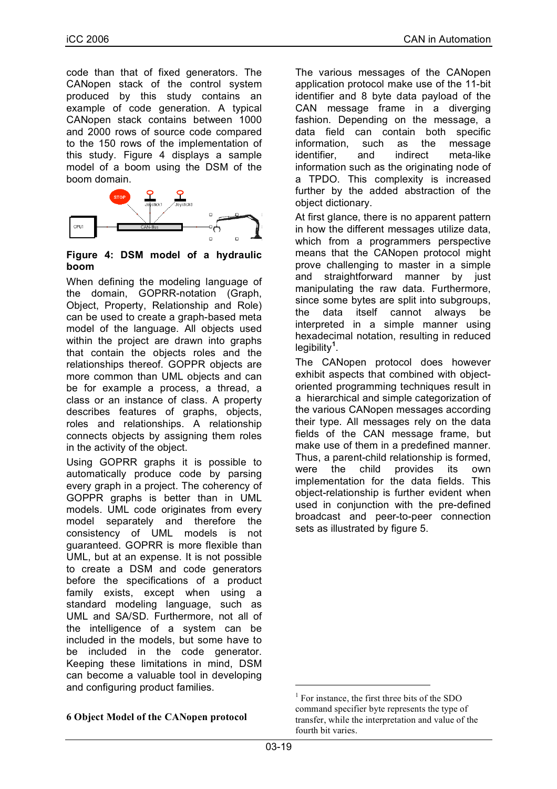code than that of fixed generators. The CANopen stack of the control system produced by this study contains an example of code generation. A typical CANopen stack contains between 1000 and 2000 rows of source code compared to the 150 rows of the implementation of this study. Figure 4 displays a sample model of a boom using the DSM of the boom domain.



#### **Figure 4: DSM model of a hydraulic boom**

When defining the modeling language of the domain, GOPRR-notation (Graph, Object, Property, Relationship and Role) can be used to create a graph-based meta model of the language. All objects used within the project are drawn into graphs that contain the objects roles and the relationships thereof. GOPPR objects are more common than UML objects and can be for example a process, a thread, a class or an instance of class. A property describes features of graphs, objects, roles and relationships. A relationship connects objects by assigning them roles in the activity of the object.

Using GOPRR graphs it is possible to automatically produce code by parsing every graph in a project. The coherency of GOPPR graphs is better than in UML models. UML code originates from every model separately and therefore the consistency of UML models is not guaranteed. GOPRR is more flexible than UML, but at an expense. It is not possible to create a DSM and code generators before the specifications of a product family exists, except when using a standard modeling language, such as UML and SA/SD. Furthermore, not all of the intelligence of a system can be included in the models, but some have to be included in the code generator. Keeping these limitations in mind, DSM can become a valuable tool in developing and configuring product families.

#### **6 Object Model of the CANopen protocol**

The various messages of the CANopen application protocol make use of the 11-bit identifier and 8 byte data payload of the CAN message frame in a diverging fashion. Depending on the message, a data field can contain both specific information, such as the message identifier, and indirect meta-like information such as the originating node of a TPDO. This complexity is increased further by the added abstraction of the object dictionary.

At first glance, there is no apparent pattern in how the different messages utilize data, which from a programmers perspective means that the CANopen protocol might prove challenging to master in a simple and straightforward manner by just manipulating the raw data. Furthermore, since some bytes are split into subgroups, the data itself cannot always be interpreted in a simple manner using hexadecimal notation, resulting in reduced legibility**<sup>1</sup>** .

The CANopen protocol does however exhibit aspects that combined with objectoriented programming techniques result in a hierarchical and simple categorization of the various CANopen messages according their type. All messages rely on the data fields of the CAN message frame, but make use of them in a predefined manner. Thus, a parent-child relationship is formed, were the child provides its own implementation for the data fields. This object-relationship is further evident when used in conjunction with the pre-defined broadcast and peer-to-peer connection sets as illustrated by figure 5.

 $<sup>1</sup>$  For instance, the first three bits of the SDO</sup> command specifier byte represents the type of transfer, while the interpretation and value of the fourth bit varies.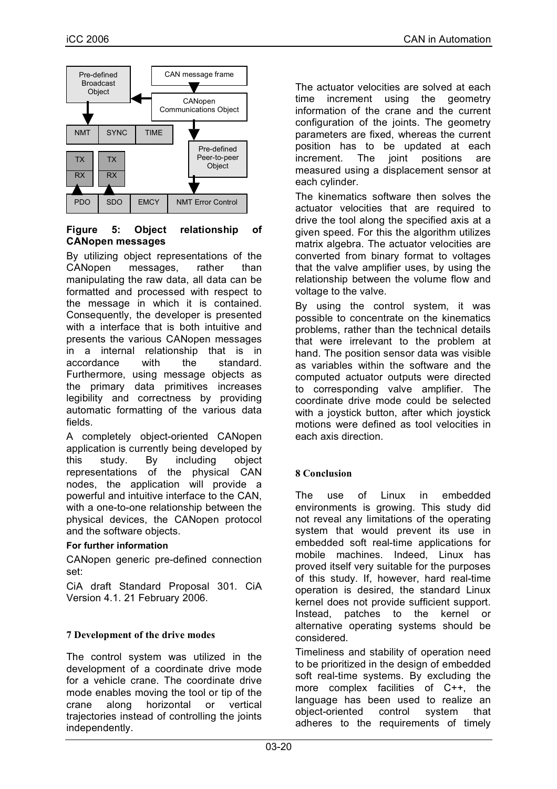

## **Figure 5: Object relationship of CANopen messages**

By utilizing object representations of the CANopen messages, rather than manipulating the raw data, all data can be formatted and processed with respect to the message in which it is contained. Consequently, the developer is presented with a interface that is both intuitive and presents the various CANopen messages in a internal relationship that is in accordance with the standard. Furthermore, using message objects as the primary data primitives increases legibility and correctness by providing automatic formatting of the various data fields.

A completely object-oriented CANopen application is currently being developed by this study. By including object representations of the physical CAN nodes, the application will provide a powerful and intuitive interface to the CAN, with a one-to-one relationship between the physical devices, the CANopen protocol and the software objects.

#### **For further information**

CANopen generic pre-defined connection set:

CiA draft Standard Proposal 301. CiA Version 4.1. 21 February 2006.

# **7 Development of the drive modes**

The control system was utilized in the development of a coordinate drive mode for a vehicle crane. The coordinate drive mode enables moving the tool or tip of the crane along horizontal or vertical trajectories instead of controlling the joints independently.

The actuator velocities are solved at each time increment using the geometry information of the crane and the current configuration of the joints. The geometry parameters are fixed, whereas the current position has to be updated at each increment. The joint positions are measured using a displacement sensor at each cylinder.

The kinematics software then solves the actuator velocities that are required to drive the tool along the specified axis at a given speed. For this the algorithm utilizes matrix algebra. The actuator velocities are converted from binary format to voltages that the valve amplifier uses, by using the relationship between the volume flow and voltage to the valve.

By using the control system, it was possible to concentrate on the kinematics problems, rather than the technical details that were irrelevant to the problem at hand. The position sensor data was visible as variables within the software and the computed actuator outputs were directed to corresponding valve amplifier. The coordinate drive mode could be selected with a joystick button, after which joystick motions were defined as tool velocities in each axis direction.

# **8 Conclusion**

The use of Linux in embedded environments is growing. This study did not reveal any limitations of the operating system that would prevent its use in embedded soft real-time applications for mobile machines. Indeed, Linux has proved itself very suitable for the purposes of this study. If, however, hard real-time operation is desired, the standard Linux kernel does not provide sufficient support. Instead, patches to the kernel or alternative operating systems should be considered.

Timeliness and stability of operation need to be prioritized in the design of embedded soft real-time systems. By excluding the more complex facilities of C++, the language has been used to realize an object-oriented control system that adheres to the requirements of timely